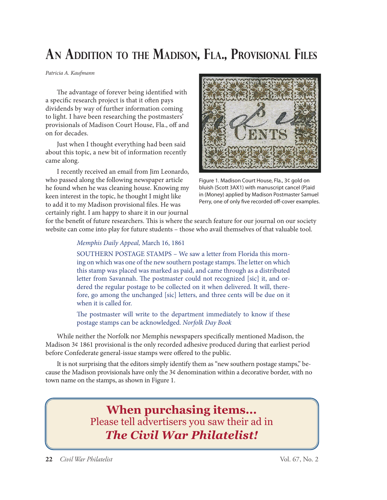## **AN ADDITION TO THE MADISON, FLA., PROVISIONAL FILES**

Patricia A. Kaufmann

The advantage of forever being identified with a specific research project is that it often pays dividends by way of further information coming to light. I have been researching the postmasters' provisionals of Madison Court House, Fla., off and on for decades.

Just when I thought everything had been said about this topic, a new bit of information recently came along.

I recently received an email from Jim Leonardo, who passed along the following newspaper article he found when he was cleaning house. Knowing my keen interest in the topic, he thought I might like to add it to my Madison provisional files. He was certainly right. I am happy to share it in our journal



Figure 1. Madison Court House, Fla., 3¢ gold on bluish (Scott 3AX1) with manuscript cancel (P)aid in (Money) applied by Madison Postmaster Samuel Perry, one of only five recorded off-cover examples.

for the benefit of future researchers. This is where the search feature for our journal on our society website can come into play for future students – those who avail themselves of that valuable tool.

## Memphis Daily Appeal, March 16, 1861

SOUTHERN POSTAGE STAMPS – We saw a letter from Florida this morning on which was one of the new southern postage stamps. The letter on which this stamp was placed was marked as paid, and came through as a distributed letter from Savannah. The postmaster could not recognized [sic] it, and ordered the regular postage to be collected on it when delivered. It will, therefore, go among the unchanged [sic] letters, and three cents will be due on it when it is called for.

The postmaster will write to the department immediately to know if these postage stamps can be acknowledged. Norfolk Day Book

While neither the Norfolk nor Memphis newspapers specifically mentioned Madison, the Madison 3¢ 1861 provisional is the only recorded adhesive produced during that earliest period before Confederate general-issue stamps were offered to the public.

It is not surprising that the editors simply identify them as "new southern postage stamps," because the Madison provisionals have only the 3¢ denomination within a decorative border, with no town name on the stamps, as shown in Figure 1.

> **When purchasing items...** Please tell advertisers you saw their ad in *The Civil War Philatelist!*